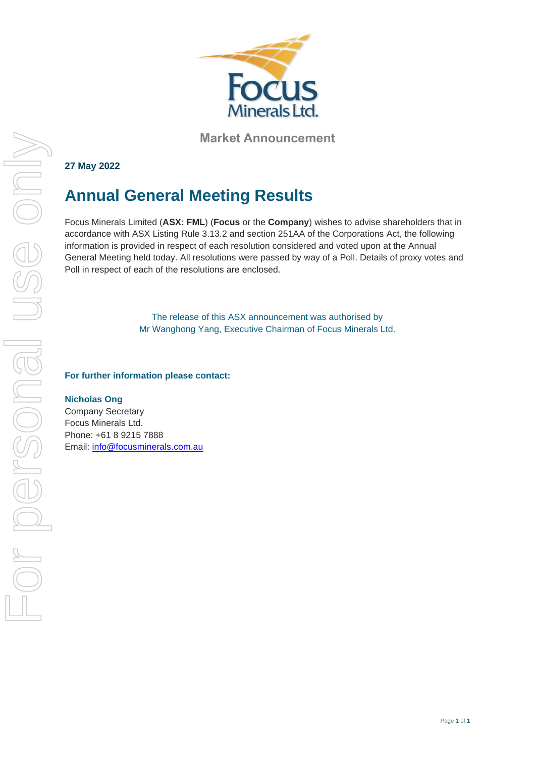

**Market Announcement**

### **27 May 2022**

# **Annual General Meeting Results**

Focus Minerals Limited (**ASX: FML**) (**Focus** or the **Company**) wishes to advise shareholders that in accordance with ASX Listing Rule 3.13.2 and section 251AA of the Corporations Act, the following information is provided in respect of each resolution considered and voted upon at the Annual General Meeting held today. All resolutions were passed by way of a Poll. Details of proxy votes and Poll in respect of each of the resolutions are enclosed.

> The release of this ASX announcement was authorised by Mr Wanghong Yang, Executive Chairman of Focus Minerals Ltd.

#### **For further information please contact:**

#### **Nicholas Ong**

Company Secretary Focus Minerals Ltd. Phone: +61 8 9215 7888 Email: [info@focusminerals.com.au](mailto:info@focusminerals.com.au)